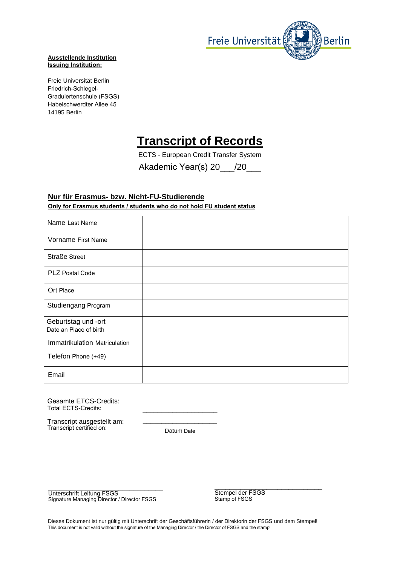

## **Ausstellende Institution Issuing Institution:**

Freie Universität Berlin Friedrich-Schlegel-Graduiertenschule (FSGS) Habelschwerdter Allee 45 14195 Berlin

## **Transcript of Records**

ECTS - European Credit Transfer System

Akademic Year(s) 20 /20

## **Nur für Erasmus- bzw. Nicht-FU-Studierende Only for Erasmus students / students who do not hold FU student status**

| Name Last Name                |  |
|-------------------------------|--|
| Vorname First Name            |  |
| <b>Straße Street</b>          |  |
| PLZ Postal Code               |  |
| Ort Place                     |  |
| Studiengang Program           |  |
| Geburtstag und -ort           |  |
| Date an Place of birth        |  |
| Immatrikulation Matriculation |  |
| Telefon Phone (+49)           |  |
| Email                         |  |

Gesamte ETCS-Credits: Total ECTS-Credits:

Transcript ausgestellt am: Transcript certified on:

\_\_\_\_\_\_\_\_\_\_\_\_\_\_\_\_\_\_\_\_ Datum Date

\_\_\_\_\_\_\_\_\_\_\_\_\_\_\_\_\_\_\_\_

\_\_\_\_\_\_\_\_\_\_\_\_\_\_\_\_\_\_\_\_\_\_\_\_\_\_\_\_\_\_\_ Unterschrift Leitung FSGS Signature Managing Director / Director FSGS

\_\_\_\_\_\_\_\_\_\_\_\_\_\_\_\_\_\_\_\_\_\_\_\_\_\_\_\_\_ Stempel der FSGS Stamp of FSGS

Dieses Dokument ist nur gültig mit Unterschrift der Geschäftsführerin / der Direktorin der FSGS und dem Stempel! This document is not valid without the signature of the Managing Director / the Director of FSGS and the stamp!